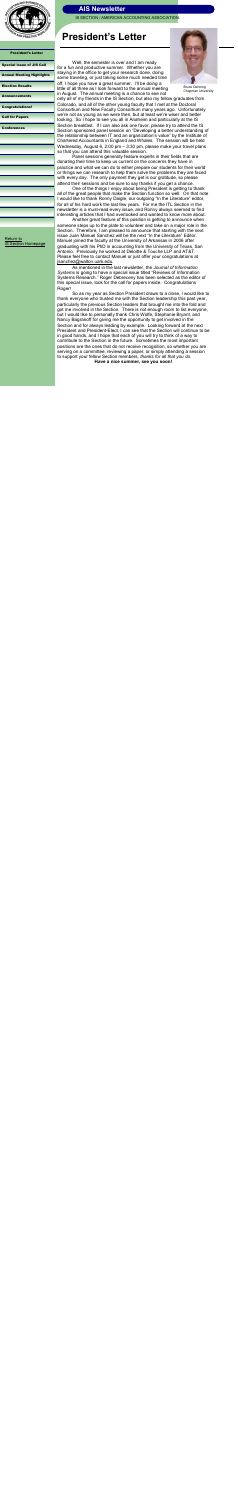IS SECTION / AMERICAN ACCOUNTING ASSOCIATION.



President's Letter

| <b>Special Issue of JIS Call</b> |  |  |  |
|----------------------------------|--|--|--|
|----------------------------------|--|--|--|

[Annual Meeting Highlights](#page-2-0)

[Election Results](#page-3-0)

[Announcements](#page-4-0)

[Congratulations!](#page-5-0)

[Call for Papers](#page-6-0)

[Conferences](#page-7-0)

# **President's Letter**

Well, the semester is over and I am ready for a fun and productive summer. Whether you are staying in the office to get your research done, doing some traveling, or just taking some much needed time off, I hope you have a great summer. I"ll be doing a little of all three as I look forward to the annual meeting in August. The annual meeting is a chance to see not



Another great feature of this position is getting to announce when someone steps up to the plate to volunteer and take on a major role in the Section. Therefore, I am pleased to announce that starting with the next issue Juan Manuel Sanchez will be the next "In the Literature" Editor. Manuel joined the faculty at the University of Arkansas in 2006 after graduating with his PhD in accounting from the University of Texas, San Antonio. Previously he worked at Deloitte & Touche LLP and AT&T. Please feel free to contact Manuel or just offer your congratulations at [jsanchez@walton.uark.edu.](mailto:jsanchez@walton.uark.edu)

Panel sessions generally feature experts in their fields that are donating their time to keep us current on the concerns they have in practice and what we can do to either prepare our students for their world or things we can research to help them solve the problems they are faced with every day. The only payment they get is our gratitude, so please attend their sessions and be sure to say thanks if you get a chance.

One of the things I enjoy about being President is getting to thank all of the great people that make the Section function so well. On that note I would like to thank Ronny Daigle, our outgoing "In the Literature" editor, for all of his hard work the last few years. For me the ITL Section in the newsletter is a must-read every issue, and Ronny always seemed to find interesting articles that I had overlooked and wanted to know more about.

As mentioned in the last newsletter, the *Journal of Information Systems* is going to have a special issue titled "Reviews of Information Systems Research." Roger Debreceny has been selected as the editor of this special issue, look for the call for papers inside. Congratulations Roger!

So as my year as Section President draws to a close, I would like to thank everyone who trusted me with the Section leadership this past year, particularly the previous Section leaders that brought me into the fold and got me involved in the Section. There is not enough room to list everyone, but I would like to personally thank Chris Wolfe, Stephanie Bryant, and Nancy Bagranoff for giving me the opportunity to get involved in the Section and for always leading by example. Looking forward at the next President and President-Elect, I can see that the Section will continue to be in good hands, and I hope that each of you will try to think of a way to contribute to the Section in the future. Sometimes the most important positions are the ones that do not receive recognition, so whether you are serving on a committee, reviewing a paper, or simply attending a session to support your fellow Section members, *thanks for all that you do*.

**Have a nice summer, see you soon!**



Bruce Dehning, Chapman University



<span id="page-0-0"></span>

[Return to](http://aaahq.org/infosys/index.html)  [IS Section Homepage](http://aaahq.org/infosys/index.html)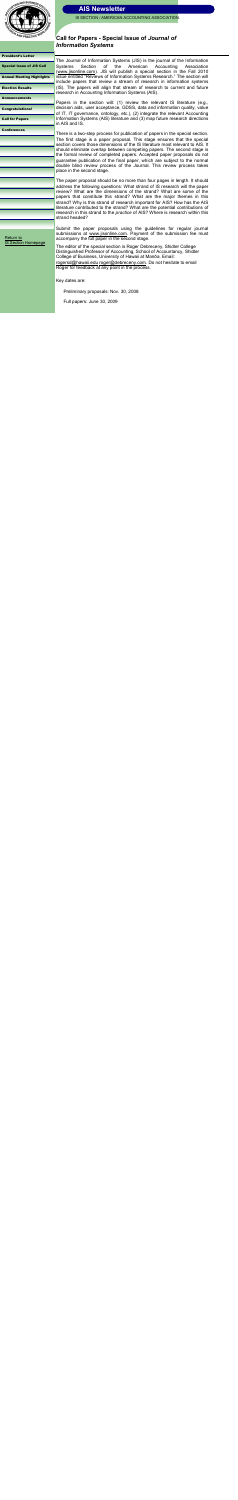

IS SECTION / AMERICAN ACCOUNTING ASSOCIATION.

[President's Letter](#page-0-0) 

Special Issue of JIS Call [Annual Meeting Highlights](#page-2-0) [Election Results](#page-3-0)

**[Announcements](#page-4-0)** 

[Congratulations!](#page-5-0)

[Call for Papers](#page-6-0)

**[Conferences](#page-7-0)** 

### **Call for Papers - Special Issue of** *Journal of Information Systems*

The Journal of Information Systems (JIS) is the journal of the Information Systems Section of the American Accounting Association ([www.jisonline.com\).](http://www.jisonline.com) JIS will publish a special section in the Fall 2010 issue entitled "Reviews of Information Systems Research." The section will include papers that review a stream of research in information systems (IS). The papers will align that stream of research to current and future research in Accounting Information Systems (AIS).

Papers in the section will: (1) review the relevant IS literature (e.g., decision aids, user acceptance, GDSS, data and information quality, value of IT, IT governance, ontology, etc.), (2) integrate the relevant Accounting Information Systems (AIS) literature and (3) map future research directions in AIS and IS.

There is a two-step process for publication of papers in the special section. The first stage is a paper proposal. This stage ensures that the special section covers those dimensions of the IS literature most relevant to AIS. It should eliminate overlap between competing papers. The second stage is the formal review of completed papers. Accepted paper proposals do not guarantee publication of the final paper, which are subject to the normal double blind review process of the Journal. This review process takes place in the second stage.

The paper proposal should be no more than four pages in length. It should address the following questions: What strand of IS research will the paper review? What are the dimensions of the strand? What are some of the papers that constitute this strand? What are the major themes in this strand? Why is this strand of research important for AIS? How has the AIS literature contributed to the strand? What are the potential contributions of research in this strand to the *practice* of AIS? Where is research within this strand headed?

Submit the paper proposals using the guidelines for regular journal submissions at [www.jisonline.com.](http://www.jisonline.com) Payment of the submission fee must accompany the full paper in the second stage.

The editor of the special section is Roger Debreceny, Shidler College Distinguished Professor of Accounting, School of Accountancy, Shidler College of Business, University of Hawaii at Manōa. Email: [rogersd@hawaii.edu](mailto:rogersd@hawaii.edu) [roger@debreceny.com.](mailto:roger@debreceny.com) Do not hesitate to email Roger for feedback at any point in the process.

Key dates are:

Preliminary proposals: Nov. 30, 2008

Full papers: June 30, 2009

[Return to](http://aaahq.org/infosys/index.html)  [IS Section Homepage](http://aaahq.org/infosys/index.html)

<span id="page-1-0"></span>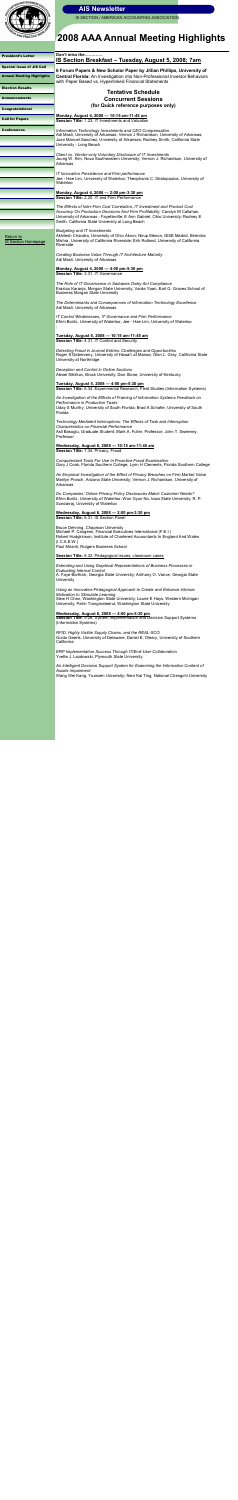

IS SECTION / AMERICAN ACCOUNTING ASSOCIATION

# **2008 AAA Annual Meeting Highlights**

*Technology Mediated Interruptions: The Effects of Task and Interruption Characteristics on Financial Performance* Asli Basoglu, Graduate Student; Mark A. Fuller, Professor; John T. Sweeney, **Professor** 

*Extending and Using Graphical Representations of Business Processes in Evaluating Internal Control* A. Faye Borthick, Georgia State University; Anthony O. Vance, Georgia State **University** 

*RFID, Highly Visible Supply Chains, and the REAL-SCO* Guido Geerts, University of Delaware; Daniel E. Oleary, University of Southern **California** 

*ERP Implementation Success Through IT/End-User Collaboration*  Yvette J. Lazdowski, Plymouth State University

| <b>President's Letter</b>               | Don't miss the<br><u> IS Section Breakfast – Tuesday, August 5, 2008; 7am</u>                                                                                                                                                                                                                     |
|-----------------------------------------|---------------------------------------------------------------------------------------------------------------------------------------------------------------------------------------------------------------------------------------------------------------------------------------------------|
| <b>Special Issue of JIS Call</b>        |                                                                                                                                                                                                                                                                                                   |
| <b>Annual Meeting Highlights</b>        | 6 Forum Papers & New Scholar Paper by Jillian Phillips, University of<br>Central Florida: An Investigation into Non-Professional Investor Behaviors<br>with Paper Based vs. Hyperlinked Financial Statements                                                                                      |
| <b>Election Results</b>                 | <b>Tentative Schedule</b>                                                                                                                                                                                                                                                                         |
| <b>Announcements</b>                    | <b>Concurrent Sessions</b>                                                                                                                                                                                                                                                                        |
| <b>Congratulations!</b>                 | (for Quick reference purposes only)                                                                                                                                                                                                                                                               |
| <b>Call for Papers</b>                  | Monday, August 4, 2008 - 10:15 am-11:45 am<br>Session Title: 1.23. IT Investments and Valuation                                                                                                                                                                                                   |
| <b>Conferences</b>                      | Information Technology Investments and CEO Compensation<br>Adi Masli, University of Arkansas; Vernon J Richardson, University of Arkansas;<br>Juan Manuel Sanchez, University of Arkansas; Rodney Smith, California State<br>University - Long Beach                                              |
|                                         | Client vs. Vendor-only Voluntary Disclosure of IT Investments<br>Joung W. Kim, Nova Southeastern University; Vernon J. Richardson, University of<br>Arkansas                                                                                                                                      |
|                                         | IT Innovation Persistence and Firm performance<br>Jee - Hae Lim, University of Waterloo; Theophanis C. Stratopoulos, University of<br>Waterloo                                                                                                                                                    |
|                                         | Monday, August 4, 2008 - 2:00 pm-3:30 pm<br>Session Title: 2.20. IT and Firm Performance                                                                                                                                                                                                          |
|                                         | The Effects of Inter-Firm Cost Correlation, IT Investment and Product Cost<br>Accuracy On Production Decisions And Firm Profitability; Carolyn M Callahan,<br>University of Arkansas - Fayetteville; E Ann Gabriel, Ohio University; Rodney E<br>Smith, California State University at Long Beach |
| Return to<br><b>IS Section Homepage</b> | <b>Budgeting and IT Investments</b><br>Akhilesh Chandra, University of Ohio Akron; Nirup Menon, IESE Madrid; Birendra<br>Mishra, University of California Riverside; Erik Rolland, University of California<br>Riverside                                                                          |
|                                         | Creating Business Value Through IT Architecture Maturity<br>Adi Masli, University of Arkansas                                                                                                                                                                                                     |
|                                         | Monday, August 4, 2008 - 4:00 pm-5:30 pm<br>Session Title: 3.31. IT Governance                                                                                                                                                                                                                    |
|                                         | The Role of IT-Governance in Sarbanes Oxley Act Compliance<br>Erastus Karanja, Morgan State University; Varda Yaari, Earl G. Graves School of<br><b>Business Morgan State University</b>                                                                                                          |
|                                         | The Determinants and Consequences of Information Technology Excellence<br>Adi Masli, University of Arkansas                                                                                                                                                                                       |
|                                         | IT Control Weaknesses, IT Governance and Firm Performance<br>Efrim Boritz, University of Waterloo; Jee - Hae Lim, University of Waterloo                                                                                                                                                          |
|                                         | Tuesday, August 5, 2008 - 10:15 am-11:45 am<br>Session Title: 4.31. IT Control and Security                                                                                                                                                                                                       |
|                                         | Detecting Fraud in Journal Entries: Challenges and Opportunities<br>Roger S Debreceny, University of Hawai'i at Manoa; Glen L. Gray, California State<br>University at Northridge                                                                                                                 |
|                                         | Deception and Control in Online Auctions                                                                                                                                                                                                                                                          |

Alexei Nikitkov, Brock University; Dan Stone, University of Kentucky

#### **Tuesday, August 5, 2008 — 4:00 pm-5:30 pm**

**Session Title:** 6.34. Experimental Research, Field Studies (Information Systems)

*An Investigation of the Effects of Framing of Information Systems Feedback on Performance in Production Tasks* Uday S Murthy, University of South Florida; Brad A Schafer, University of South Florida

**Wednesday, August 6, 2008 — 10:15 am-11:45 am Session Title:** 7.34. Privacy, Fraud

*Computerized Tools For Use In Proactive Fraud Examination* Gary J Cook, Florida Southern College; Lynn H Clements, Florida Southern College

*An Empirical Investigation of the Effect of Privacy Breaches on Firm Market Value* Marilyn Prosch, Arizona State University; Vernon J. Richardson, University of Arkansas

*Do Companies' Online Privacy Policy Disclosures Match Customer Needs?* Efrim Boritz, University of Waterloo; Won Gyun No, Iowa State University; R. P. Sundarraj, University of Waterloo

**Wednesday, August 6, 2008 — 2:00 pm-3:30 pm Session Title:** 8.31. IS Section Panel

Bruce Dehning, Chapman University Michael P. Cangemi, Financial Executives International (F.E.I.) Robert Hodgkinson, Institute of Chartered Accountants In England And Wales (I.C.A.E.W.) Paul Miranti, Rutgers Business School

**Session Title:** 8.32. Pedagogical issues, classroom cases

*Using an Innovative Pedagogical Approach to Create and Enhance Intrinsic Motivation to Stimulate Learning* Siew H Chan, Washington State University; Laurie E Hays, Western Michigan University; Pailin Trongmateerut, Washington State University

#### **Wednesday, August 6, 2008 — 4:00 pm-5:30 pm**

**Session Title:** 9.26. System Implementation and Decision Support Systems (Information Systems)

*An Intelligent Decision Support System for Examining the Information Content of Assets Impairment*

Wang Wei Kang, Yuanzen University; Nien Kai Ting, National Chengchi University

<span id="page-2-0"></span>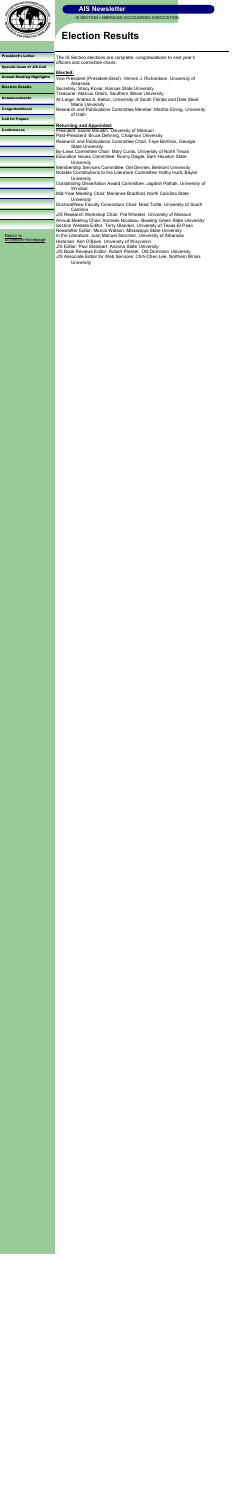

IS SECTION / AMERICAN ACCOUNTING ASSOCIATION.

# **Election Results**

| The IS Section elections are complete; congratulations to next year's                                                                    |  |
|------------------------------------------------------------------------------------------------------------------------------------------|--|
| officers and committee chairs:                                                                                                           |  |
| Elected:<br>Vice President (President-Elect): Vernon J. Richardson, University of                                                        |  |
| Arkansas<br>Secretary: Stacy Kovar, Kansas State University                                                                              |  |
| Treasurer: Marcus Odom, Southern Illinois University<br>At-Large: Andrea S. Kelton, University of South Florida and Dale Stoel,          |  |
| <b>Miami University</b><br>Research and Publications Committee Member: Martha Eining, University<br>of Utah                              |  |
|                                                                                                                                          |  |
| <b>Returning and Appointed:</b>                                                                                                          |  |
| President: Elaine Mauldin, University of Missouri<br>Past-President: Bruce Dehning, Chapman University                                   |  |
| Research and Publications Committee Chair: Faye Borthick, Georgia                                                                        |  |
| <b>State University</b>                                                                                                                  |  |
| By-Laws Committee Chair: Mary Curtis, University of North Texas                                                                          |  |
| Education Issues Committee: Ronny Daigle, Sam Houston State                                                                              |  |
| University                                                                                                                               |  |
| Membership Services Committee: Del Devries, Belmont University<br>Notable Contributions to the Literature Committee: Kathy Hurtt, Baylor |  |
| University<br>Outstanding Dissertation Award Committee: Jagdish Pathak, University of<br>Windsor                                         |  |
| Mid-Year Meeting Chair: Marianne Bradford, North Carolina State<br><b>University</b>                                                     |  |
| Doctoral/New Faculty Consortium Chair: Brad Tuttle, University of South<br>Carolina                                                      |  |
| JIS Research Workshop Chair: Pat Wheeler, University of Missouri                                                                         |  |
| Annual Meeting Chair: Andreas Nicolaou, Bowling Green State University                                                                   |  |
| Section Website Editor: Terry Glandon, University of Texas-El Paso                                                                       |  |
| Newsletter Editor: Marcia Watson, Mississippi State University<br>In the Literature: Juan Manuel Sanchez, University of Arkansas         |  |
| Historian: Ann O'Brien, University of Wisconsin                                                                                          |  |
| JIS Editor: Paul Steinbart, Arizona State University                                                                                     |  |
| JIS Book Reviews Editor: Robert Pinsker, Old Dominion University                                                                         |  |
| JIS Associate Editor for Web Services: Chih-Chen Lee, Northern Illinois<br><b>University</b>                                             |  |
|                                                                                                                                          |  |
|                                                                                                                                          |  |
|                                                                                                                                          |  |

<span id="page-3-0"></span>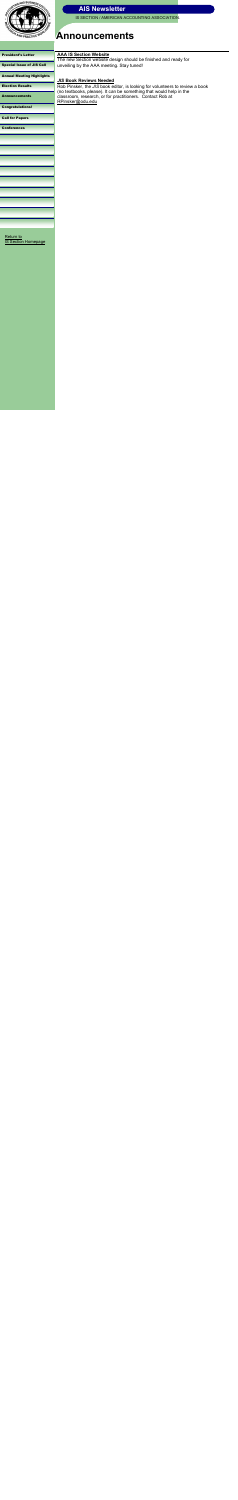

IS SECTION / AMERICAN ACCOUNTING ASSOCIATION.

#### [President's Letter](#page-0-0)

[Special Issue of JIS Call](#page-1-0)

[Annual Meeting Highlights](#page-2-0)

#### [Election Results](#page-3-0)

Announcements

[Congratulations!](#page-5-0)

[Call for Papers](#page-6-0)

**[Conferences](#page-7-0)** 

## **Announcements**

[Return to](http://aaahq.org/infosys/index.html)  [IS Section Homepage](http://aaahq.org/infosys/index.html)



<span id="page-4-0"></span>

#### **AAA IS Section Website**

The new Section website design should be finished and ready for unveiling by the AAA meeting. Stay tuned!

### *JIS* **Book Reviews Needed**

Rob Pinsker, the *JIS* book editor, is looking for volunteers to review a book (no textbooks, please). It can be something that would help in the classroom, research, or for practitioners. Contact Rob at [RPinsker@odu.edu](mailto:RPinsker@odu.edu)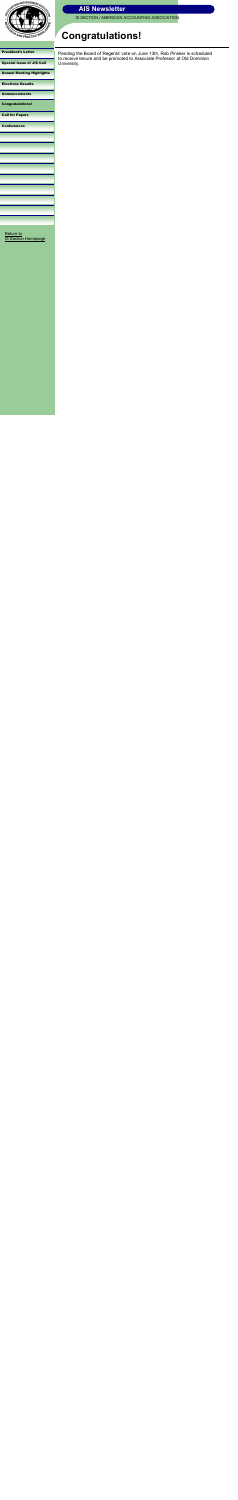

IS SECTION / AMERICAN ACCOUNTING ASSOCIATION.

#### [President's Letter](#page-0-0)

[Special Issue of JIS Call](#page-1-0)

[Annual Meeting Highlights](#page-2-0)

[Elections Results](#page-3-0)

[Announcements](#page-4-0)

Congratulations!

[Call for Papers](#page-6-0)

**[Conferences](#page-7-0)** 

# **Congratulations!**

[Return to](http://aaahq.org/infosys/index.html)  [IS Section Homepage](http://aaahq.org/infosys/index.html)

Pending the Board of Regents' vote on June 13th, Rob Pinsker is scheduled to receive tenure and be promoted to Associate Professor at Old Dominion University.



<span id="page-5-0"></span>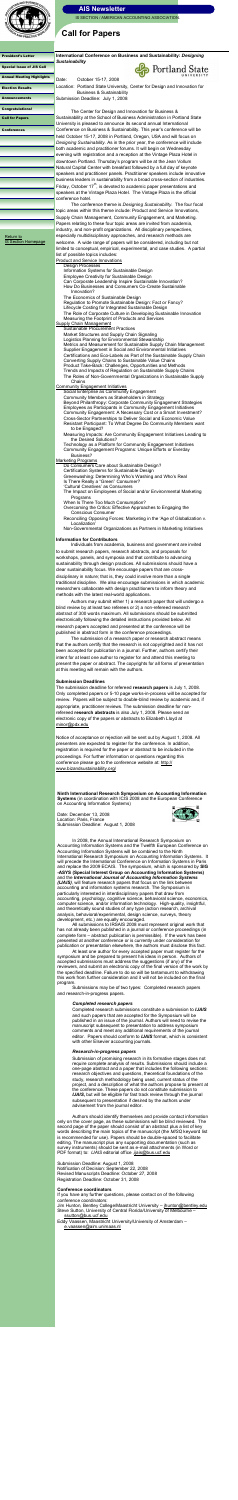

IS SECTION / AMERICAN ACCOUNTING ASSOCIATION.

#### [President's Letter](#page-0-0)

[Special Issue of JIS Call](#page-1-0)

[Annual Meeting Highlights](#page-2-0)

[Election Results](#page-3-0)

[Announcements](#page-4-0)

[Congratulations!](#page-5-0)

Call for Papers

**[Conferences](#page-7-0)** 

## **Call for Papers**

**International Conference on Business and Sustainability:** *Designing Sustainability*

Date: October 15-17, 2008



Location: Portland State University, Center for Design and Innovation for Business & Sustainability Submission Deadline: July 1, 2008

The Center for Design and Innovation for Business & Sustainability at the School of Business Administration in Portland State University is pleased to announce its second annual International Conference on Business & Sustainability. This year"s conference will be held October 15-17, 2008 in Portland, Oregon, USA and will focus on *Designing Sustainability*. As in the prior year, the conference will include both academic and practitioner forums. It will begin on Wednesday evening with registration and a reception at the Vintage Plaza Hotel in downtown Portland. Thursday"s program will be at the Jean Vollum Natural Capital Center with breakfast followed by a full day of keynote speakers and practitioner panels. Practitioner speakers include innovative business leaders in sustainability from a broad cross-section of industries. Friday, October  $17<sup>th</sup>$ , is devoted to academic paper presentations and speakers at the Vintage Plaza Hotel. The Vintage Plaza is the official conference hotel.

The conference theme is *Designing Sustainability*. The four focal topic areas within this theme include: Product and Service Innovations, Supply Chain Management, Community Engagement, and Marketing. Papers relating to these four topic areas are invited from academia, industry, and non-profit organizations. All disciplinary perspectives, especially multidisciplinary approaches, and research methods are welcome. A wide range of papers will be considered, including but not limited to conceptual, empirical, experimental, and case studies. A partial list of possible topics includes:

- Is There Really a "Green" Consumer?
- 'Cultural Creatives' as Consumers

Product and Service Innovations

Design Processes Information Systems for Sustainable Design Employee Creativity for Sustainable Design Can Corporate Leadership Inspire Sustainable Innovation? How Do Businesses and Consumers Co-Create Sustainable Innovation? The Economics of Sustainable Design Regulation to Promote Sustainable Design: Fact or Fancy? Lifecycle Costing for Integrated Sustainable Design The Role of Corporate Culture in Developing Sustainable Innovation Measuring the Footprint of Products and Services Supply Chain Management Sustainable Procurement Practices Market Structures and Supply Chain Signaling Logistics Planning for Environmental Stewardship Metrics and Measurement for Sustainable Supply Chain Management Supplier Engagement in Social and Environmental Initiatives Certifications and Eco-Labels as Part of the Sustainable Supply Chain Converting Supply Chains to Sustainable Value Chains Product Take-Back: Challenges, Opportunities and Methods Trends and Impacts of Regulation on Sustainable Supply Chains

The submission deadline for refereed **research papers** is July 1, 2008. Only completed papers or 5-10 page works-in-process will be accepted for review. Papers will be subject to double-blind review by academic and, if appropriate, practitioner reviews. The submission deadline for nonrefereed **research abstracts** is also July 1, 2008. Please send an electronic copy of the papers or abstracts to Elizabeth Lloyd at [minor@pdx.edu](mailto:minor@pdx.edu.)

The Roles of Non-Governmental Organizations in Sustainable Supply Chains

**Community Engagement Initiatives** 

Social Enterprise as Community Engagement

Community Members as Stakeholders in Strategy Beyond Philanthropy: Corporate Community Engagement Strategies Employees as Participants in Community Engagement Initiatives Community Engagement: A Necessary Cost or a Smart Investment? Cross-Sector Partnerships to Deliver Social and Economic Value Resistant Participant: To What Degree Do Community Members want to be Engaged?

Measuring Impacts: Are Community Engagement Initiatives Leading to the Desired Solutions?

Technology as a Platform for Community Engagement Initiatives Community Engagement Programs: Unique Efforts or Everday Business?

Marketing Programs

Do Consumers Care about Sustainable Design? Certification Systems for Sustainable Design

Greenwashing: Determining Who"s Washing and Who"s Real

The Impact on Employees of Social and/or Environmental Marketing Programs

When Is There Too Much Consumption?

Overcoming the Critics: Effective Approaches to Engaging the Conscious Consumer

Reconciling Opposing Forces: Marketing in the "Age of Globalization v. Localization"

Non-Governmental Organizations as Partners in Marketing Initiatives

#### **Information for Contributors**

Individuals from academia, business and government are invited to submit research papers, research abstracts, and proposals for workshops, panels, and symposia and that contribute to advancing sustainability through design practices. All submissions should have a clear sustainability focus. We encourage papers that are crossdisciplinary in nature; that is, they could involve more than a single traditional discipline. We also encourage submissions in which academic researchers collaborate with design practitioners to inform theory and methods with the latest real-world applications.

second page of the paper should consist of an abstract plus a list of key words describing the main topics of the manuscript (the *MISQ* keyword list is recommended for use). Papers should be double-spaced to facilitate editing. The manuscript plus any supporting documentation (such as survey instruments) should be sent as e-mail attachments (in Word or PDF format) to: *IJAIS* editorial office ,jjais@bus.ucf.edu

Authors may submit either 1) a research paper that will undergo a blind review by at least two referees or 2) a non-refereed research abstract of 300 words maximum. All submissions should be submitted electronically following the detailed instructions provided below. All research papers accepted and presented at the conference will be published in abstract form in the conference proceedings.

The submission of a research paper or research abstract means that the authors certify that the research is not copyrighted and it has not been accepted for publication in a journal. Further, authors certify their intent for at least one author to register for and attend this meeting to present the paper or abstract. The copyrights for all forms of presentation at this meeting will remain with the authors.

#### **Submission Deadlines**

Notice of acceptance or rejection will be sent out by August 1, 2008. All presenters are expected to register for the conference. In addition, registration is required for the paper or abstract to be included in the proceedings. For further information or questions regarding this conference please go to the conference website at: [http://](http://www.bizandsustainability.org/) [www.bizandsustainability.org/](http://www.bizandsustainability.org/)

[Return to](http://aaahq.org/infosys/index.html)  [IS Section Homepage](http://aaahq.org/infosys/index.html)

> **Ninth International Research Symposium on Accounting Information Systems** (in coordination with ICIS 2008 and the European Conference on Accounting Information Systems)

Date: December 13, 2008 Location: Paris, France Submission Deadline: August 1, 2008



In 2008, the Annual International Research Symposium on Accounting Information Systems and the Twelfth European Conference on Accounting Information Systems will be combined to the Ninth International Research Symposium on Accounting Information Systems. It will precede the International Conference on Information Systems in Paris and replace the 2009 ECAIS. The symposium, which is sponsored by **SIG -ASYS (Special Interest Group on Accounting Information Systems)**  and the *International Journal of Accounting Information Systems (IJAIS)*, will feature research papers that focus on the link between accounting and information systems research. The Symposium is particularly interested in interdisciplinary papers that draw from accounting, psychology, cognitive science, behavioral science, economics, computer science, and/or information technology. High-quality, insightful, and theoretically sound studies of any type (action research, archival analysis, behavioral/experimental, design science, surveys, theory development, etc.) are equally encouraged.

All submissions to IRSAIS 2008 must represent original work that has not already been published in a journal or conference proceedings (in complete form – abstract publication is permissible). If the work has been presented at another conference or is currently under consideration for publication or presentation elsewhere, the authors must disclose this fact.

At least one author for every accepted paper must register for the symposium and be prepared to present his ideas in person. Authors of accepted submissions must address the suggestions (if any) of the reviewers, and submit an electronic copy of the final version of the work by the specified deadline. Failure to do so will be tantamount to withdrawing this work from further consideration and it will not be included on the final program.

Submissions may be of two types: Completed research papers and research-in-progress papers.

#### *Completed research papers*

Completed research submissions constitute a submission to *IJAIS* and such papers that are accepted for the Symposium will be published in an issue of the journal. Authors will need to revise the manuscript subsequent to presentation to address symposium comments and meet any additional requirements of the journal editor. Papers should conform to *IJAIS* format, which is consistent with other Elsevier accounting journals.

#### *Research-in-progress papers*

Submission of promising research in its formative stages does not require complete analysis of results. Submissions should include a one-page abstract and a paper that includes the following sections: research objectives and questions, theoretical foundations of the study, research methodology being used, current status of the project, and a description of what the authors propose to present at the conference. These papers do not constitute submission to **IJAIS**, but will be eligible for fast track review through the journal subsequent to presentation if desired by the authors under advisement from the journal editor.

Authors should identify themselves and provide contact information only on the cover page, as these submissions will be blind reviewed. The

<span id="page-6-0"></span>Submission Deadline: August 1, 2008 Notification of Decision: September 22, 2008 Revised Manuscripts Deadline: October 27, 2008 Registration Deadline: October 31, 2008

#### **Conference coordinators**

If you have any further questions, please contact on of the following conference coordinators: Jim Hunton, Bentley College/Maastricht University – [jhunton@bentley.edu](mailto:jhunton@bentley.edu) Steve Sutton, University of Central Florida/University of Melbourne – [ssutton@bus.ucf.edu](mailto:ssutton@bus.ucf.edu) Eddy Vaassen, Maastricht University/University of Amsterdam –

[e.vaassen@aim.unimaas.nl](mailto:e.vaassen@aim.unimaas.nl)